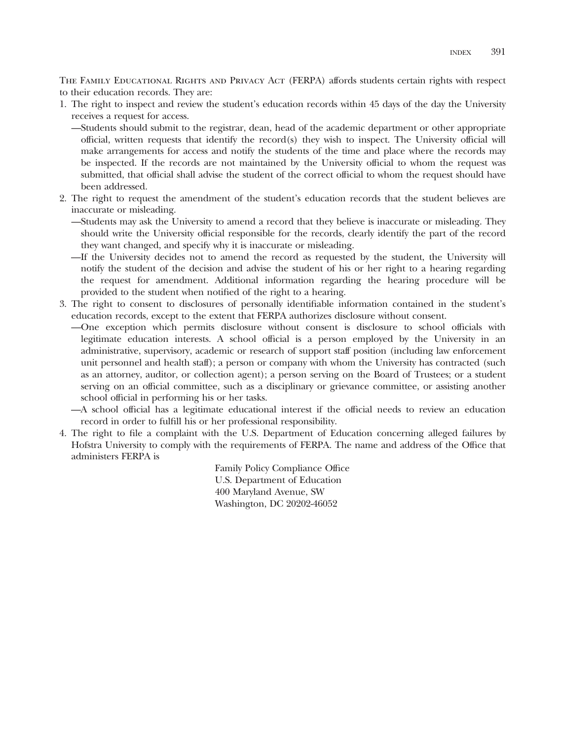THE FAMILY EDUCATIONAL RIGHTS AND PRIVACY ACT (FERPA) affords students certain rights with respect to their education records. They are:

1. The right to inspect and review the student's education records within 45 days of the day the University receives a request for access.

—Students should submit to the registrar, dean, head of the academic department or other appropriate official, written requests that identify the record(s) they wish to inspect. The University official will make arrangements for access and notify the students of the time and place where the records may be inspected. If the records are not maintained by the University official to whom the request was submitted, that official shall advise the student of the correct official to whom the request should have been addressed.

- 2. The right to request the amendment of the student's education records that the student believes are inaccurate or misleading.
	- —Students may ask the University to amend a record that they believe is inaccurate or misleading. They should write the University official responsible for the records, clearly identify the part of the record they want changed, and specify why it is inaccurate or misleading.
	- —If the University decides not to amend the record as requested by the student, the University will notify the student of the decision and advise the student of his or her right to a hearing regarding the request for amendment. Additional information regarding the hearing procedure will be provided to the student when notified of the right to a hearing.
- 3. The right to consent to disclosures of personally identifiable information contained in the student's education records, except to the extent that FERPA authorizes disclosure without consent.
	- —One exception which permits disclosure without consent is disclosure to school officials with legitimate education interests. A school official is a person employed by the University in an administrative, supervisory, academic or research of support staff position (including law enforcement unit personnel and health staff); a person or company with whom the University has contracted (such as an attorney, auditor, or collection agent); a person serving on the Board of Trustees; or a student serving on an official committee, such as a disciplinary or grievance committee, or assisting another school official in performing his or her tasks.
	- —A school official has a legitimate educational interest if the official needs to review an education record in order to fulfill his or her professional responsibility.
- 4. The right to file a complaint with the U.S. Department of Education concerning alleged failures by Hofstra University to comply with the requirements of FERPA. The name and address of the Office that administers FERPA is

Family Policy Compliance Office U.S. Department of Education 400 Maryland Avenue, SW Washington, DC 20202-46052